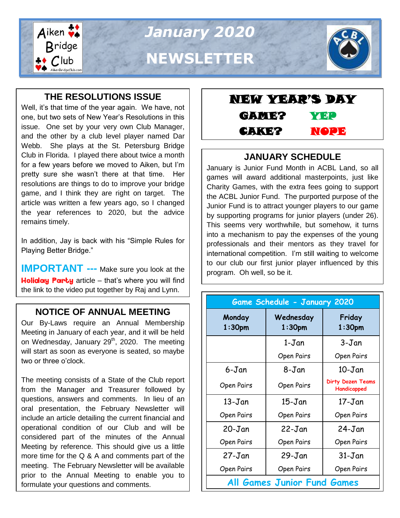

# **THE RESOLUTIONS ISSUE**

Well, it's that time of the year again. We have, not one, but two sets of New Year's Resolutions in this issue. One set by your very own Club Manager, and the other by a club level player named Dar Webb. She plays at the St. Petersburg Bridge Club in Florida. I played there about twice a month for a few years before we moved to Aiken, but I'm pretty sure she wasn't there at that time. Her resolutions are things to do to improve your bridge game, and I think they are right on target. The article was written a few years ago, so I changed the year references to 2020, but the advice remains timely.

In addition, Jay is back with his "Simple Rules for Playing Better Bridge."

**IMPORTANT** --- Make sure you look at the Holiday Party article - that's where you will find the link to the video put together by Raj and Lynn.

## **NOTICE OF ANNUAL MEETING**

Our By-Laws require an Annual Membership Meeting in January of each year, and it will be held on Wednesday, January  $29<sup>th</sup>$ , 2020. The meeting will start as soon as everyone is seated, so maybe two or three o'clock.

The meeting consists of a State of the Club report from the Manager and Treasurer followed by questions, answers and comments. In lieu of an oral presentation, the February Newsletter will include an article detailing the current financial and operational condition of our Club and will be considered part of the minutes of the Annual Meeting by reference. This should give us a little more time for the Q & A and comments part of the meeting. The February Newsletter will be available prior to the Annual Meeting to enable you to formulate your questions and comments.

NEW YEAR'S DAY GAME? YEP CAKE? NOPE

## **JANUARY SCHEDULE**

January is Junior Fund Month in ACBL Land, so all games will award additional masterpoints, just like Charity Games, with the extra fees going to support the ACBL Junior Fund. The purported purpose of the Junior Fund is to attract younger players to our game by supporting programs for junior players (under 26). This seems very worthwhile, but somehow, it turns into a mechanism to pay the expenses of the young professionals and their mentors as they travel for international competition. I'm still waiting to welcome to our club our first junior player influenced by this program. Oh well, so be it.

| <b>Game Schedule - January 2020</b> |                        |                                         |
|-------------------------------------|------------------------|-----------------------------------------|
| Monday<br>1:30 <sub>pm</sub>        | Wednesday<br>$1:30$ pm | Friday<br>$1:30$ pm                     |
|                                     | 1-Jan                  | 3-Jan                                   |
|                                     | Open Pairs             | Open Pairs                              |
| 6-Jan                               | 8-Jan                  | 10-Jan                                  |
| Open Pairs                          | Open Pairs             | <b>Dirty Dozen Teams</b><br>Handicapped |
| 13-Jan                              | $15 - Jan$             | $17 - Jan$                              |
| Open Pairs                          | Open Pairs             | Open Pairs                              |
| $20 - Jan$                          | $22 - Jan$             | $24 - Jan$                              |
| Open Pairs                          | Open Pairs             | Open Pairs                              |
| $27 - Jan$                          | $29 - Jan$             | $31 - Jan$                              |
| Open Pairs                          | Open Pairs             | Open Pairs                              |
| <b>All Games Junior Fund Games</b>  |                        |                                         |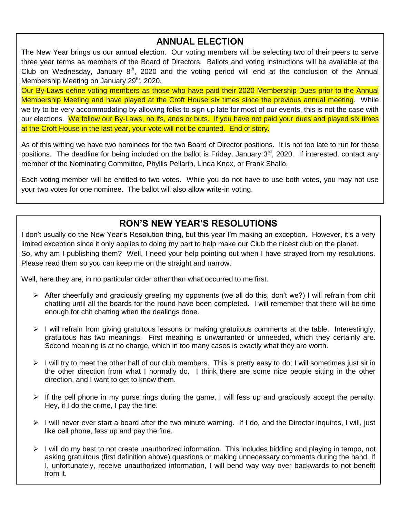## **ANNUAL ELECTION**

The New Year brings us our annual election. Our voting members will be selecting two of their peers to serve three year terms as members of the Board of Directors. Ballots and voting instructions will be available at the Club on Wednesday, January  $8<sup>th</sup>$ , 2020 and the voting period will end at the conclusion of the Annual Membership Meeting on January 29<sup>th</sup>, 2020.

Our By-Laws define voting members as those who have paid their 2020 Membership Dues prior to the Annual Membership Meeting and have played at the Croft House six times since the previous annual meeting. While we try to be very accommodating by allowing folks to sign up late for most of our events, this is not the case with our elections. We follow our By-Laws, no ifs, ands or buts. If you have not paid your dues and played six times at the Croft House in the last year, your vote will not be counted. End of story.

As of this writing we have two nominees for the two Board of Director positions. It is not too late to run for these positions. The deadline for being included on the ballot is Friday, January  $3<sup>rd</sup>$ , 2020. If interested, contact any member of the Nominating Committee, Phyllis Pellarin, Linda Knox, or Frank Shallo.

Each voting member will be entitled to two votes. While you do not have to use both votes, you may not use your two votes for one nominee. The ballot will also allow write-in voting.

# **RON'S NEW YEAR'S RESOLUTIONS**

I don't usually do the New Year's Resolution thing, but this year I'm making an exception. However, it's a very limited exception since it only applies to doing my part to help make our Club the nicest club on the planet. So, why am I publishing them? Well, I need your help pointing out when I have strayed from my resolutions. Please read them so you can keep me on the straight and narrow.

Well, here they are, in no particular order other than what occurred to me first.

- $\triangleright$  After cheerfully and graciously greeting my opponents (we all do this, don't we?) I will refrain from chit chatting until all the boards for the round have been completed. I will remember that there will be time enough for chit chatting when the dealings done.
- $\triangleright$  I will refrain from giving gratuitous lessons or making gratuitous comments at the table. Interestingly, gratuitous has two meanings. First meaning is unwarranted or unneeded, which they certainly are. Second meaning is at no charge, which in too many cases is exactly what they are worth.
- $\triangleright$  I will try to meet the other half of our club members. This is pretty easy to do; I will sometimes just sit in the other direction from what I normally do. I think there are some nice people sitting in the other direction, and I want to get to know them.
- $\triangleright$  If the cell phone in my purse rings during the game, I will fess up and graciously accept the penalty. Hey, if I do the crime, I pay the fine.
- $\triangleright$  I will never ever start a board after the two minute warning. If I do, and the Director inquires, I will, just like cell phone, fess up and pay the fine.
- $\triangleright$  I will do my best to not create unauthorized information. This includes bidding and playing in tempo, not asking gratuitous (first definition above) questions or making unnecessary comments during the hand. If I, unfortunately, receive unauthorized information, I will bend way way over backwards to not benefit from it.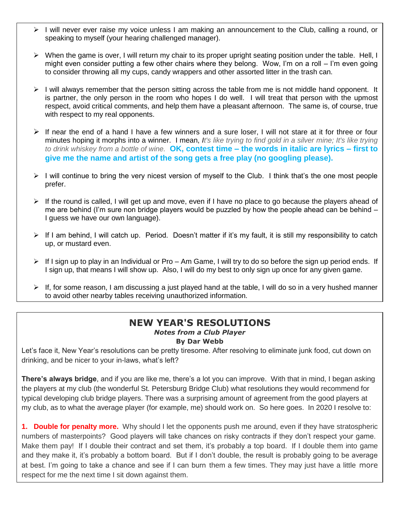$\triangleright$  I will never ever raise my voice unless I am making an announcement to the Club, calling a round, or speaking to myself (your hearing challenged manager).

l

- $\triangleright$  When the game is over, I will return my chair to its proper upright seating position under the table. Hell, I might even consider putting a few other chairs where they belong. Wow, I'm on a roll – I'm even going to consider throwing all my cups, candy wrappers and other assorted litter in the trash can.
- $\triangleright$  I will always remember that the person sitting across the table from me is not middle hand opponent. It is partner, the only person in the room who hopes I do well. I will treat that person with the upmost respect, avoid critical comments, and help them have a pleasant afternoon. The same is, of course, true with respect to my real opponents.
- $\triangleright$  If near the end of a hand I have a few winners and a sure loser, I will not stare at it for three or four minutes hoping it morphs into a winner. I mean, *It's like trying to find gold in a silver mine; It's like trying to drink whiskey from a bottle of wine.* **OK, contest time – the words in italic are lyrics – first to give me the name and artist of the song gets a free play (no googling please).**
- $\triangleright$  I will continue to bring the very nicest version of myself to the Club. I think that's the one most people prefer.
- $\triangleright$  If the round is called, I will get up and move, even if I have no place to go because the players ahead of me are behind (I'm sure non bridge players would be puzzled by how the people ahead can be behind – I guess we have our own language).
- $\triangleright$  If I am behind, I will catch up. Period. Doesn't matter if it's my fault, it is still my responsibility to catch up, or mustard even.
- If I sign up to play in an Individual or Pro Am Game, I will try to do so before the sign up period ends. If I sign up, that means I will show up. Also, I will do my best to only sign up once for any given game.
- $\triangleright$  If, for some reason, I am discussing a just played hand at the table, I will do so in a very hushed manner to avoid other nearby tables receiving unauthorized information.

# **NEW YEAR'S RESOLUTIONS**

#### *Notes from a Club Player*

#### **By Dar Webb**

Let's face it, New Year's resolutions can be pretty tiresome. After resolving to eliminate junk food, cut down on drinking, and be nicer to your in-laws, what's left?

**There's always bridge**, and if you are like me, there's a lot you can improve. With that in mind, I began asking the players at my club (the wonderful St. Petersburg Bridge Club) what resolutions they would recommend for typical developing club bridge players. There was a surprising amount of agreement from the good players at my club, as to what the average player (for example, me) should work on. So here goes. In 2020 I resolve to:

**1. Double for penalty more.** Why should I let the opponents push me around, even if they have stratospheric numbers of masterpoints? Good players will take chances on risky contracts if they don't respect your game. Make them pay! If I double their contract and set them, it's probably a top board. If I double them into game and they make it, it's probably a bottom board. But if I don't double, the result is probably going to be average at best. I'm going to take a chance and see if I can burn them a few times. They may just have a little more respect for me the next time I sit down against them.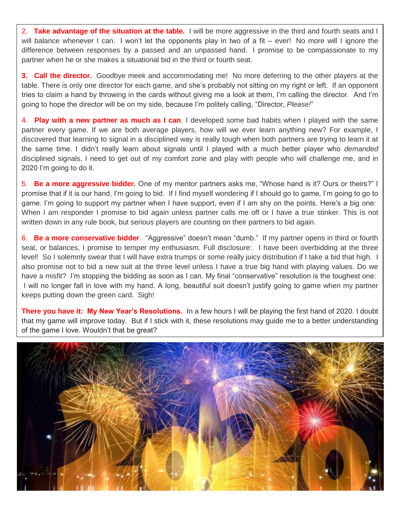$\overline{a}$ 2. **Take advantage of the situation at the table.** I will be more aggressive in the third and fourth seats and I will balance whenever I can. I won't let the opponents play in two of a fit – ever! No more will I ignore the difference between responses by a passed and an unpassed hand. I promise to be compassionate to my partner when he or she makes a situational bid in the third or fourth seat.

**3. Call the director.** Goodbye meek and accommodating me! No more deferring to the other players at the table. There is only one director for each game, and she's probably not sitting on my right or left. If an opponent tries to claim a hand by throwing in the cards without giving me a look at them, I'm calling the director. And I'm going to hope the director will be on my side, because I'm politely calling, "Director, *Please!*"

4. **Play with a new partner as much as I can**. I developed some bad habits when I played with the same partner every game. If we are both average players, how will we ever learn anything new? For example, I discovered that learning to signal in a disciplined way is really tough when both partners are trying to learn it at the same time. I didn't really learn about signals until I played with a much better player who *demanded* disciplined signals. I need to get out of my comfort zone and play with people who will challenge me, and in 2020 I'm going to do it.

5. **Be a more aggressive bidder.** One of my mentor partners asks me, "Whose hand is it? Ours or theirs?" I promise that if it is our hand, I'm going to bid. If I find myself wondering if I should go to game, I'm going to go to game. I'm going to support my partner when I have support, even if I am shy on the points. Here's a big one: When I am responder I promise to bid again unless partner calls me off or I have a true stinker. This is not written down in any rule book, but serious players are counting on their partners to bid again.

6. **Be a more conservative bidder**. "Aggressive" doesn't mean "dumb." If my partner opens in third or fourth seat, or balances, I promise to temper my enthusiasm. Full disclosure: I have been overbidding at the three level! So I solemnly swear that I will have extra trumps or some really juicy distribution if I take a bid that high. I also promise not to bid a new suit at the three level unless I have a true big hand with playing values. Do we have a misfit? I'm stopping the bidding as soon as I can. My final "conservative" resolution is the toughest one: I will no longer fall in love with my hand. A long, beautiful suit doesn't justify going to game when my partner keeps putting down the green card. Sigh!

**There you have it: My New Year's Resolutions.** In a few hours I will be playing the first hand of 2020. I doubt that my game will improve today. But if I stick with it, these resolutions may guide me to a better understanding of the game I love. Wouldn't that be great?

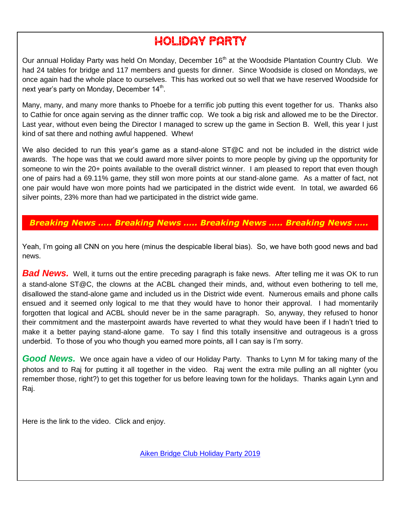# HOLIDAY PARTY

Our annual Holiday Party was held On Monday, December 16<sup>th</sup> at the Woodside Plantation Country Club. We had 24 tables for bridge and 117 members and guests for dinner. Since Woodside is closed on Mondays, we once again had the whole place to ourselves. This has worked out so well that we have reserved Woodside for next year's party on Monday, December 14<sup>th</sup>.

Many, many, and many more thanks to Phoebe for a terrific job putting this event together for us. Thanks also to Cathie for once again serving as the dinner traffic cop. We took a big risk and allowed me to be the Director. Last year, without even being the Director I managed to screw up the game in Section B. Well, this year I just kind of sat there and nothing awful happened. Whew!

We also decided to run this year's game as a stand-alone ST@C and not be included in the district wide awards. The hope was that we could award more silver points to more people by giving up the opportunity for someone to win the 20+ points available to the overall district winner. I am pleased to report that even though one of pairs had a 69.11% game, they still won more points at our stand-alone game. As a matter of fact, not one pair would have won more points had we participated in the district wide event. In total, we awarded 66 silver points, 23% more than had we participated in the district wide game.

### *Breaking News ….. Breaking News ….. Breaking News ….. Breaking News …..*

Yeah, I'm going all CNN on you here (minus the despicable liberal bias). So, we have both good news and bad news.

**Bad News.** Well, it turns out the entire preceding paragraph is fake news. After telling me it was OK to run a stand-alone ST@C, the clowns at the ACBL changed their minds, and, without even bothering to tell me, disallowed the stand-alone game and included us in the District wide event. Numerous emails and phone calls ensued and it seemed only logical to me that they would have to honor their approval. I had momentarily forgotten that logical and ACBL should never be in the same paragraph. So, anyway, they refused to honor their commitment and the masterpoint awards have reverted to what they would have been if I hadn't tried to make it a better paying stand-alone game. To say I find this totally insensitive and outrageous is a gross underbid. To those of you who though you earned more points, all I can say is I'm sorry.

*Good News.* We once again have a video of our Holiday Party. Thanks to Lynn M for taking many of the photos and to Raj for putting it all together in the video. Raj went the extra mile pulling an all nighter (you remember those, right?) to get this together for us before leaving town for the holidays. Thanks again Lynn and Raj.

Here is the link to the video. Click and enjoy.

[Aiken Bridge Club Holiday Party 2019](https://youtu.be/sorLO2sv-h4)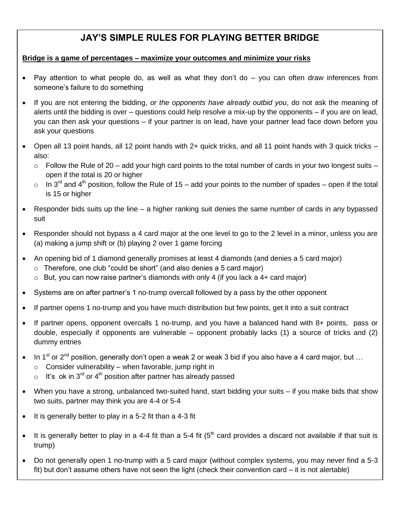## **JAY'S SIMPLE RULES FOR PLAYING BETTER BRIDGE**

#### **Bridge is a game of percentages – maximize your outcomes and minimize your risks**

- Pay attention to what people do, as well as what they don't do you can often draw inferences from someone's failure to do something
- If you are not entering the bidding, *or the opponents have already outbid you*, do not ask the meaning of alerts until the bidding is over – questions could help resolve a mix-up by the opponents – if you are on lead, you can then ask your questions – if your partner is on lead, have your partner lead face down before you ask your questions
- Open all 13 point hands, all 12 point hands with 2+ quick tricks, and all 11 point hands with 3 quick tricks also:
	- $\circ$  Follow the Rule of 20 add your high card points to the total number of cards in your two longest suits open if the total is 20 or higher
	- o In 3<sup>rd</sup> and 4<sup>th</sup> position, follow the Rule of 15 add your points to the number of spades open if the total is 15 or higher
- Responder bids suits up the line a higher ranking suit denies the same number of cards in any bypassed suit
- Responder should not bypass a 4 card major at the one level to go to the 2 level in a minor, unless you are (a) making a jump shift or (b) playing 2 over 1 game forcing
- An opening bid of 1 diamond generally promises at least 4 diamonds (and denies a 5 card major)
	- o Therefore, one club "could be short" (and also denies a 5 card major)
	- $\circ$  But, you can now raise partner's diamonds with only 4 (if you lack a 4+ card major)
- Systems are on after partner's 1 no-trump overcall followed by a pass by the other opponent
- If partner opens 1 no-trump and you have much distribution but few points, get it into a suit contract
- If partner opens, opponent overcalls 1 no-trump, and you have a balanced hand with 8+ points, pass or double, especially if opponents are vulnerable – opponent probably lacks (1) a source of tricks and (2) dummy entries
- In 1<sup>st</sup> or 2<sup>nd</sup> position, generally don't open a weak 2 or weak 3 bid if you also have a 4 card major, but ...
	- $\circ$  Consider vulnerability when favorable, jump right in
	- $\circ$  It's ok in 3<sup>rd</sup> or 4<sup>th</sup> position after partner has already passed
- When you have a strong, unbalanced two-suited hand, start bidding your suits if you make bids that show two suits, partner may think you are 4-4 or 5-4
- It is generally better to play in a 5-2 fit than a 4-3 fit
- It is generally better to play in a 4-4 fit than a 5-4 fit ( $5<sup>th</sup>$  card provides a discard not available if that suit is trump)
- Do not generally open 1 no-trump with a 5 card major (without complex systems, you may never find a 5-3 fit) but don't assume others have not seen the light (check their convention card – it is not alertable)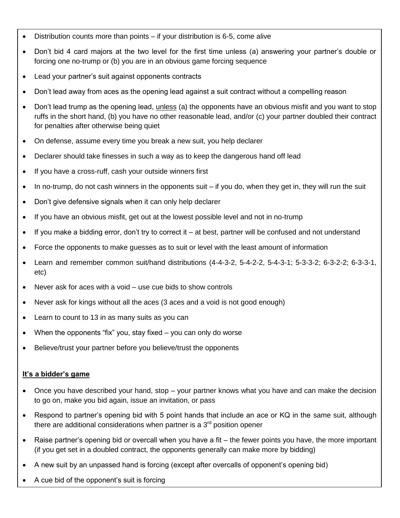- Distribution counts more than points if your distribution is 6-5, come alive
- Don't bid 4 card majors at the two level for the first time unless (a) answering your partner's double or forcing one no-trump or (b) you are in an obvious game forcing sequence
- Lead your partner's suit against opponents contracts
- Don't lead away from aces as the opening lead against a suit contract without a compelling reason
- Don't lead trump as the opening lead, unless (a) the opponents have an obvious misfit and you want to stop ruffs in the short hand, (b) you have no other reasonable lead, and/or (c) your partner doubled their contract for penalties after otherwise being quiet
- On defense, assume every time you break a new suit, you help declarer
- Declarer should take finesses in such a way as to keep the dangerous hand off lead
- If you have a cross-ruff, cash your outside winners first
- In no-trump, do not cash winners in the opponents suit if you do, when they get in, they will run the suit
- Don't give defensive signals when it can only help declarer
- If you have an obvious misfit, get out at the lowest possible level and not in no-trump
- $\bullet$  If you make a bidding error, don't try to correct it at best, partner will be confused and not understand
- Force the opponents to make guesses as to suit or level with the least amount of information
- Learn and remember common suit/hand distributions (4-4-3-2, 5-4-2-2, 5-4-3-1; 5-3-3-2; 6-3-2-2; 6-3-3-1, etc)
- Never ask for aces with a void use cue bids to show controls
- Never ask for kings without all the aces (3 aces and a void is not good enough)
- Learn to count to 13 in as many suits as you can
- When the opponents "fix" you, stay fixed  $-$  you can only do worse
- Believe/trust your partner before you believe/trust the opponents

#### **It's a bidder's game**

- Once you have described your hand, stop your partner knows what you have and can make the decision to go on, make you bid again, issue an invitation, or pass
- Respond to partner's opening bid with 5 point hands that include an ace or KQ in the same suit, although there are additional considerations when partner is a  $3<sup>rd</sup>$  position opener
- Raise partner's opening bid or overcall when you have a fit the fewer points you have, the more important (if you get set in a doubled contract, the opponents generally can make more by bidding)
- A new suit by an unpassed hand is forcing (except after overcalls of opponent's opening bid)
- A cue bid of the opponent's suit is forcing